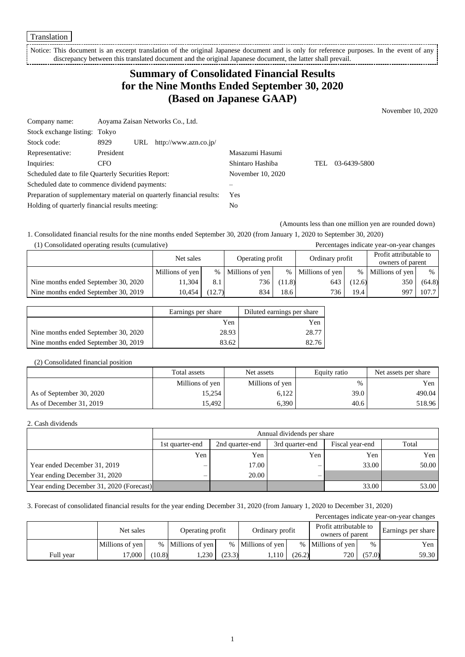Translation

Notice: This document is an excerpt translation of the original Japanese document and is only for reference purposes. In the event of any discrepancy between this translated document and the original Japanese document, the latter shall prevail. 

## **Summary of Consolidated Financial Results for the Nine Months Ended September 30, 2020 (Based on Japanese GAAP)**

November 10, 2020

| Company name:                                                         |            | Aoyama Zaisan Networks Co., Ltd. |                       |                   |     |              |
|-----------------------------------------------------------------------|------------|----------------------------------|-----------------------|-------------------|-----|--------------|
| Stock exchange listing: Tokyo                                         |            |                                  |                       |                   |     |              |
| Stock code:                                                           | 8929       | URL                              | http://www.azn.co.jp/ |                   |     |              |
| Representative:                                                       | President  |                                  |                       | Masazumi Hasumi   |     |              |
| Inquiries:                                                            | <b>CFO</b> |                                  |                       | Shintaro Hashiba  | TEL | 03-6439-5800 |
| Scheduled date to file Quarterly Securities Report:                   |            |                                  |                       | November 10, 2020 |     |              |
| Scheduled date to commence dividend payments:                         |            |                                  |                       |                   |     |              |
| Preparation of supplementary material on quarterly financial results: |            | Yes                              |                       |                   |     |              |
| Holding of quarterly financial results meeting:                       |            |                                  |                       | No                |     |              |

(Amounts less than one million yen are rounded down)

1. Consolidated financial results for the nine months ended September 30, 2020 (from January 1, 2020 to September 30, 2020)

| (1) Consolidated operating results (cumulative) |                 |        |                  |        |                 |        | Percentages indicate year-on-year changes  |        |
|-------------------------------------------------|-----------------|--------|------------------|--------|-----------------|--------|--------------------------------------------|--------|
|                                                 | Net sales       |        | Operating profit |        | Ordinary profit |        | Profit attributable to<br>owners of parent |        |
|                                                 | Millions of yen | $\%$   | Millions of yen  | $\%$   | Millions of yen | $\%$   | Millions of yen                            | $\%$   |
| Nine months ended September 30, 2020            | 11.304          | 8.1    | 736              | (11.8) | 643             | (12.6) | 350                                        | (64.8) |
| Nine months ended September 30, 2019            | 10.454          | (12.7) | 834              | 18.6   | 736             | 19.4   | 997                                        | 107.7  |

|                                      | Earnings per share | Diluted earnings per share |
|--------------------------------------|--------------------|----------------------------|
|                                      | Yen                | Yen                        |
| Nine months ended September 30, 2020 | 28.93              | 28.77                      |
| Nine months ended September 30, 2019 | 83.62              | 82.76                      |

#### (2) Consolidated financial position

|                          | Total assets    | Net assets      | Equity ratio | Net assets per share |
|--------------------------|-----------------|-----------------|--------------|----------------------|
|                          | Millions of yen | Millions of yen | $\%$         | Yen                  |
| As of September 30, 2020 | 15,254          | 6.122           | 39.0         | 490.04               |
| As of December 31, 2019  | 15.492          | 6.390           | 40.6         | 518.96               |

#### 2. Cash dividends

|                                          | Annual dividends per share |                                                                |     |       |       |  |  |  |
|------------------------------------------|----------------------------|----------------------------------------------------------------|-----|-------|-------|--|--|--|
|                                          | 1st quarter-end            | Total<br>3rd quarter-end<br>2nd quarter-end<br>Fiscal year-end |     |       |       |  |  |  |
|                                          | Yen                        | Yen                                                            | Yen | Yen   | Yen   |  |  |  |
| Year ended December 31, 2019             | $-$                        | 17.00                                                          | –   | 33.00 | 50.00 |  |  |  |
| Year ending December 31, 2020            |                            | 20.00                                                          |     |       |       |  |  |  |
| Year ending December 31, 2020 (Forecast) |                            |                                                                |     | 33.00 | 53.00 |  |  |  |

#### 3. Forecast of consolidated financial results for the year ending December 31, 2020 (from January 1, 2020 to December 31, 2020)

| Percentages indicate year-on-year changes |                 |        |                   |        |                   |        |                                            |        |                    |
|-------------------------------------------|-----------------|--------|-------------------|--------|-------------------|--------|--------------------------------------------|--------|--------------------|
|                                           | Net sales       |        | Operating profit  |        | Ordinary profit   |        | Profit attributable to<br>owners of parent |        | Earnings per share |
|                                           | Millions of yen |        | % Millions of yen |        | % Millions of yen |        | % Millions of yen                          | $\%$   | Yen                |
| Full year                                 | 17,000          | (10.8) | .230              | (23.3) | ' 110.،           | (26.2) | 720 <sub>1</sub>                           | (57.0) | 59.30              |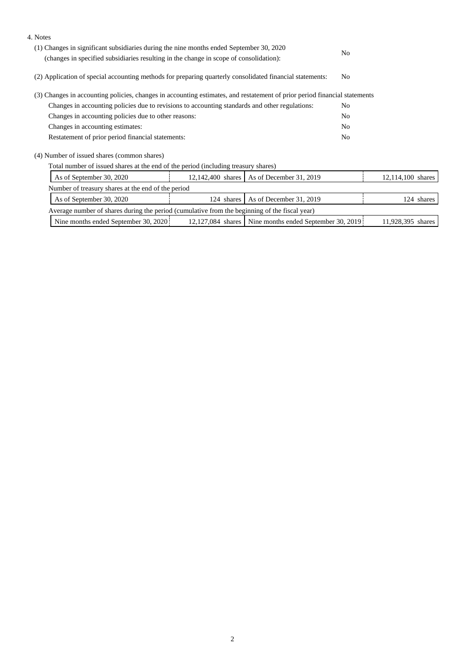| 4. Notes                                                                                                                                                                          |                |                         |                |                   |
|-----------------------------------------------------------------------------------------------------------------------------------------------------------------------------------|----------------|-------------------------|----------------|-------------------|
| (1) Changes in significant subsidiaries during the nine months ended September 30, 2020<br>(changes in specified subsidiaries resulting in the change in scope of consolidation): |                |                         | N <sub>0</sub> |                   |
| (2) Application of special accounting methods for preparing quarterly consolidated financial statements:                                                                          |                |                         |                |                   |
| (3) Changes in accounting policies, changes in accounting estimates, and restatement of prior period financial statements                                                         |                |                         |                |                   |
| Changes in accounting policies due to revisions to accounting standards and other regulations:                                                                                    | N <sub>0</sub> |                         |                |                   |
| Changes in accounting policies due to other reasons:                                                                                                                              |                |                         |                |                   |
| Changes in accounting estimates:                                                                                                                                                  |                |                         |                |                   |
| Restatement of prior period financial statements:                                                                                                                                 |                |                         |                |                   |
| (4) Number of issued shares (common shares)                                                                                                                                       |                |                         |                |                   |
| Total number of issued shares at the end of the period (including treasury shares)                                                                                                |                |                         |                |                   |
| As of September 30, 2020<br>12,142,400 shares   As of December 31, 2019                                                                                                           |                |                         |                | 12,114,100 shares |
| Number of treasury shares at the end of the period                                                                                                                                |                |                         |                |                   |
| As of September 30, 2020                                                                                                                                                          | 124 shares     | As of December 31, 2019 |                | 124 shares        |
| Average number of shares during the period (cumulative from the beginning of the fiscal year)                                                                                     |                |                         |                |                   |
|                                                                                                                                                                                   |                |                         |                |                   |

| 2020<br>.107<br>.084<br>Nine<br>1 Sentember 30.<br>shares<br>: months ended . | 2019<br>928<br>30.<br>Nine months ended<br>' September : | 395<br>shares |
|-------------------------------------------------------------------------------|----------------------------------------------------------|---------------|
|-------------------------------------------------------------------------------|----------------------------------------------------------|---------------|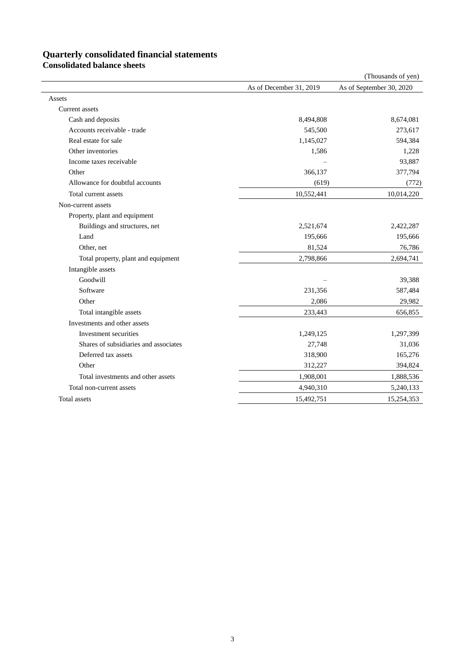# **Quarterly consolidated financial statements**

|                                       |                         | (Thousands of yen)       |
|---------------------------------------|-------------------------|--------------------------|
|                                       | As of December 31, 2019 | As of September 30, 2020 |
| Assets                                |                         |                          |
| <b>Current</b> assets                 |                         |                          |
| Cash and deposits                     | 8,494,808               | 8,674,081                |
| Accounts receivable - trade           | 545,500                 | 273,617                  |
| Real estate for sale                  | 1,145,027               | 594,384                  |
| Other inventories                     | 1,586                   | 1,228                    |
| Income taxes receivable               |                         | 93,887                   |
| Other                                 | 366,137                 | 377,794                  |
| Allowance for doubtful accounts       | (619)                   | (772)                    |
| Total current assets                  | 10,552,441              | 10,014,220               |
| Non-current assets                    |                         |                          |
| Property, plant and equipment         |                         |                          |
| Buildings and structures, net         | 2,521,674               | 2,422,287                |
| Land                                  | 195,666                 | 195,666                  |
| Other, net                            | 81,524                  | 76,786                   |
| Total property, plant and equipment   | 2,798,866               | 2,694,741                |
| Intangible assets                     |                         |                          |
| Goodwill                              |                         | 39,388                   |
| Software                              | 231,356                 | 587,484                  |
| Other                                 | 2,086                   | 29,982                   |
| Total intangible assets               | 233,443                 | 656,855                  |
| Investments and other assets          |                         |                          |
| Investment securities                 | 1,249,125               | 1,297,399                |
| Shares of subsidiaries and associates | 27,748                  | 31,036                   |
| Deferred tax assets                   | 318,900                 | 165,276                  |
| Other                                 | 312,227                 | 394,824                  |
| Total investments and other assets    | 1,908,001               | 1,888,536                |
| Total non-current assets              | 4,940,310               | 5,240,133                |
| Total assets                          | 15,492,751              | 15,254,353               |

**Consolidated balance sheets**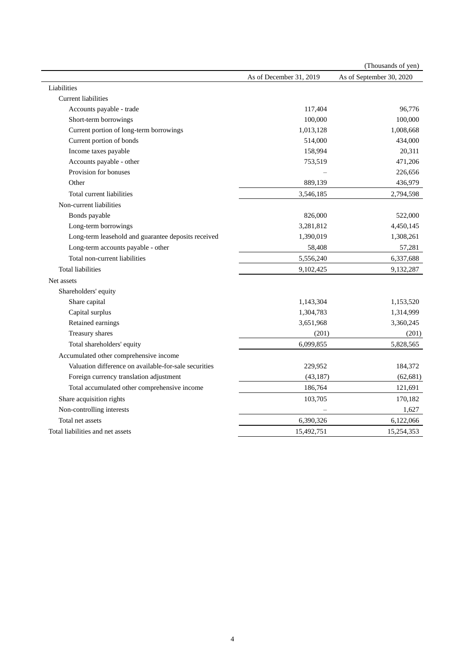|                                                       |                         | (Thousands of yen)       |
|-------------------------------------------------------|-------------------------|--------------------------|
|                                                       | As of December 31, 2019 | As of September 30, 2020 |
| Liabilities                                           |                         |                          |
| <b>Current liabilities</b>                            |                         |                          |
| Accounts payable - trade                              | 117,404                 | 96,776                   |
| Short-term borrowings                                 | 100,000                 | 100,000                  |
| Current portion of long-term borrowings               | 1,013,128               | 1,008,668                |
| Current portion of bonds                              | 514,000                 | 434,000                  |
| Income taxes payable                                  | 158,994                 | 20,311                   |
| Accounts payable - other                              | 753,519                 | 471,206                  |
| Provision for bonuses                                 |                         | 226,656                  |
| Other                                                 | 889,139                 | 436,979                  |
| Total current liabilities                             | 3,546,185               | 2,794,598                |
| Non-current liabilities                               |                         |                          |
| Bonds payable                                         | 826,000                 | 522,000                  |
| Long-term borrowings                                  | 3,281,812               | 4,450,145                |
| Long-term leasehold and guarantee deposits received   | 1,390,019               | 1,308,261                |
| Long-term accounts payable - other                    | 58,408                  | 57,281                   |
| Total non-current liabilities                         | 5,556,240               | 6,337,688                |
| <b>Total liabilities</b>                              | 9,102,425               | 9,132,287                |
| Net assets                                            |                         |                          |
| Shareholders' equity                                  |                         |                          |
| Share capital                                         | 1,143,304               | 1,153,520                |
| Capital surplus                                       | 1,304,783               | 1,314,999                |
| Retained earnings                                     | 3,651,968               | 3,360,245                |
| Treasury shares                                       | (201)                   | (201)                    |
| Total shareholders' equity                            | 6,099,855               | 5,828,565                |
| Accumulated other comprehensive income                |                         |                          |
| Valuation difference on available-for-sale securities | 229,952                 | 184,372                  |
| Foreign currency translation adjustment               | (43, 187)               | (62, 681)                |
| Total accumulated other comprehensive income          | 186,764                 | 121,691                  |
| Share acquisition rights                              | 103,705                 | 170,182                  |
| Non-controlling interests                             |                         | 1,627                    |
| Total net assets                                      | 6,390,326               | 6,122,066                |
| Total liabilities and net assets                      | 15,492,751              | 15,254,353               |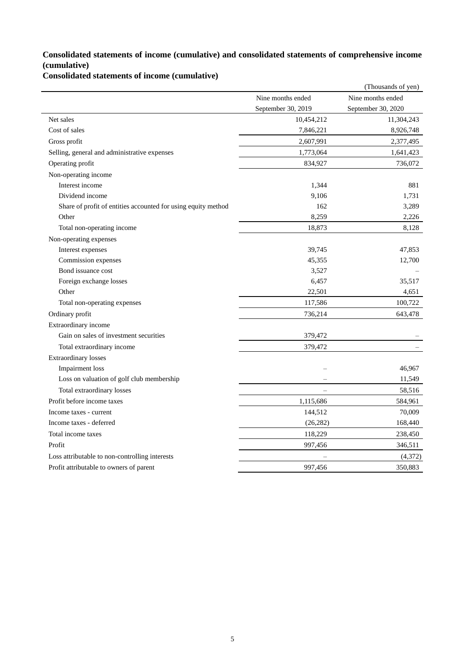## **Consolidated statements of income (cumulative) and consolidated statements of comprehensive income (cumulative)**

**Consolidated statements of income (cumulative)**

|                                                               |                    | (Thousands of yen) |
|---------------------------------------------------------------|--------------------|--------------------|
|                                                               | Nine months ended  | Nine months ended  |
|                                                               | September 30, 2019 | September 30, 2020 |
| Net sales                                                     | 10,454,212         | 11,304,243         |
| Cost of sales                                                 | 7,846,221          | 8,926,748          |
| Gross profit                                                  | 2,607,991          | 2,377,495          |
| Selling, general and administrative expenses                  | 1,773,064          | 1,641,423          |
| Operating profit                                              | 834,927            | 736,072            |
| Non-operating income                                          |                    |                    |
| Interest income                                               | 1,344              | 881                |
| Dividend income                                               | 9,106              | 1,731              |
| Share of profit of entities accounted for using equity method | 162                | 3,289              |
| Other                                                         | 8,259              | 2,226              |
| Total non-operating income                                    | 18,873             | 8,128              |
| Non-operating expenses                                        |                    |                    |
| Interest expenses                                             | 39,745             | 47,853             |
| Commission expenses                                           | 45,355             | 12,700             |
| Bond issuance cost                                            | 3,527              |                    |
| Foreign exchange losses                                       | 6,457              | 35,517             |
| Other                                                         | 22,501             | 4,651              |
| Total non-operating expenses                                  | 117,586            | 100,722            |
| Ordinary profit                                               | 736,214            | 643,478            |
| Extraordinary income                                          |                    |                    |
| Gain on sales of investment securities                        | 379,472            |                    |
| Total extraordinary income                                    | 379,472            |                    |
| <b>Extraordinary losses</b>                                   |                    |                    |
| Impairment loss                                               |                    | 46,967             |
| Loss on valuation of golf club membership                     |                    | 11,549             |
| Total extraordinary losses                                    |                    | 58,516             |
| Profit before income taxes                                    | 1,115,686          | 584,961            |
| Income taxes - current                                        | 144,512            | 70,009             |
| Income taxes - deferred                                       | (26, 282)          | 168,440            |
| Total income taxes                                            | 118,229            | 238,450            |
| Profit                                                        | 997,456            | 346,511            |
| Loss attributable to non-controlling interests                |                    | (4,372)            |
| Profit attributable to owners of parent                       | 997,456            | 350,883            |